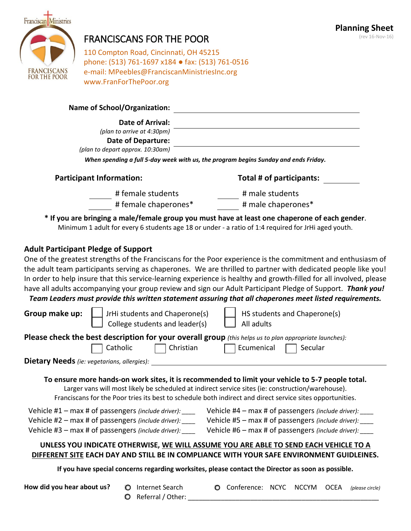

# FRANCISCANS FOR THE POOR

**Planning Sheet** (rev 16-Nov-16)

110 Compton Road, Cincinnati, OH 45215 phone: (513) 761-1697 x184 ● fax: (513) 761-0516 e-mail: MPeebles@FranciscanMinistriesInc.org www.FranForThePoor.org

#### **Name of School/Organization:**

| <b>Date of Arrival:</b> |  |  |
|-------------------------|--|--|
|                         |  |  |

|                            |  | PULL OF ATTIVUI. |  |  |  |  |
|----------------------------|--|------------------|--|--|--|--|
| (plan to arrive at 4:30pm) |  |                  |  |  |  |  |

**Date of Departure:**

*(plan to depart approx. 10:30am)*

*When spending a full 5-day week with us, the program begins Sunday and ends Friday.*

| <b>Participant Information:</b> | Total # of participants:                                                                                                                                                                                                      |  |  |
|---------------------------------|-------------------------------------------------------------------------------------------------------------------------------------------------------------------------------------------------------------------------------|--|--|
| # female students               | # male students                                                                                                                                                                                                               |  |  |
| # female chaperones*            | # male chaperones*                                                                                                                                                                                                            |  |  |
|                                 | . The contract of the contract of the contract of the contract of the contract of the contract of the contract of the contract of the contract of the contract of the contract of the contract of the contract of the contrac |  |  |

**\* If you are bringing a male/female group you must have at least one chaperone of each gender**. Minimum 1 adult for every 6 students age 18 or under - a ratio of 1:4 required for JrHi aged youth.

### **Adult Participant Pledge of Support**

One of the greatest strengths of the Franciscans for the Poor experience is the commitment and enthusiasm of the adult team participants serving as chaperones. We are thrilled to partner with dedicated people like you! In order to help insure that this service-learning experience is healthy and growth-filled for all involved, please have all adults accompanying your group review and sign our Adult Participant Pledge of Support. *Thank you!*

## *Team Leaders must provide this written statement assuring that all chaperones meet listed requirements.*

| Group make up:                              | JrHi students and Chaperone(s)<br>College students and leader(s)                                                                                                                    | HS students and Chaperone(s)<br>All adults                                                                                                                                                                                                                                                                         |
|---------------------------------------------|-------------------------------------------------------------------------------------------------------------------------------------------------------------------------------------|--------------------------------------------------------------------------------------------------------------------------------------------------------------------------------------------------------------------------------------------------------------------------------------------------------------------|
|                                             | Catholic<br>Christian                                                                                                                                                               | Please check the best description for your overall group (this helps us to plan appropriate launches):<br>Ecumenical<br>Secular                                                                                                                                                                                    |
| Dietary Needs (ie: vegetarians, allergies): |                                                                                                                                                                                     | To ensure more hands-on work sites, it is recommended to limit your vehicle to 5-7 people total.<br>Larger vans will most likely be scheduled at indirect service sites (ie: construction/warehouse).<br>Franciscans for the Poor tries its best to schedule both indirect and direct service sites opportunities. |
|                                             | Vehicle $#1$ – max # of passengers (include driver): $\frac{ }{ }$<br>Vehicle #2 - max # of passengers (include driver):<br>Vehicle #3 - max # of passengers (include driver): ____ | Vehicle $#4$ – max # of passengers (include driver): $\frac{1}{2}$<br>Vehicle #5 - max # of passengers (include driver):<br>Vehicle #6 – max # of passengers (include driver):                                                                                                                                     |
|                                             |                                                                                                                                                                                     | UNLESS YOU INDICATE OTHERWISE, WE WILL ASSUME YOU ARE ABLE TO SEND EACH VEHICLE TO A<br>DIFFERENT SITE EACH DAY AND STILL BE IN COMPLIANCE WITH YOUR SAFE ENVIRONMENT GUIDLEINES.                                                                                                                                  |
|                                             |                                                                                                                                                                                     | If you have special concerns regarding worksites, please contact the Director as soon as possible.                                                                                                                                                                                                                 |
| How did you hear about us?                  | Internet Search<br>Referral / Other:<br>O                                                                                                                                           | Conference: NCYC<br><b>NCCYM</b><br><b>OCEA</b><br>O<br>(please circle)                                                                                                                                                                                                                                            |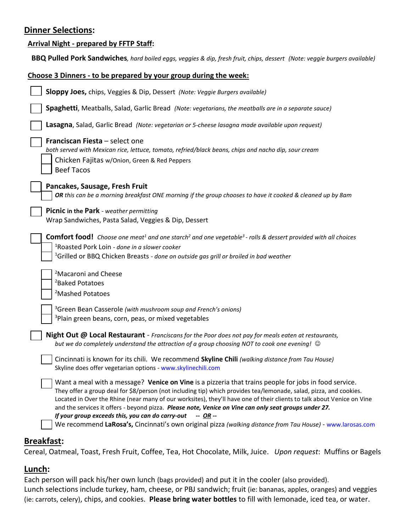### **Dinner Selections:**

| <b>Arrival Night - prepared by FFTP Staff:</b>                                                                                                                                                                                                                                                                                                                                                                                                                 |
|----------------------------------------------------------------------------------------------------------------------------------------------------------------------------------------------------------------------------------------------------------------------------------------------------------------------------------------------------------------------------------------------------------------------------------------------------------------|
| BBQ Pulled Pork Sandwiches, hard boiled eggs, veggies & dip, fresh fruit, chips, dessert (Note: veggie burgers available)                                                                                                                                                                                                                                                                                                                                      |
| Choose 3 Dinners - to be prepared by your group during the week:                                                                                                                                                                                                                                                                                                                                                                                               |
| Sloppy Joes, chips, Veggies & Dip, Dessert (Note: Veggie Burgers available)                                                                                                                                                                                                                                                                                                                                                                                    |
| <b>Spaghetti</b> , Meatballs, Salad, Garlic Bread (Note: vegetarians, the meatballs are in a separate sauce)                                                                                                                                                                                                                                                                                                                                                   |
| Lasagna, Salad, Garlic Bread (Note: vegetarian or 5-cheese lasagna made available upon request)                                                                                                                                                                                                                                                                                                                                                                |
| Franciscan Fiesta - select one<br>both served with Mexican rice, lettuce, tomato, refried/black beans, chips and nacho dip, sour cream<br>Chicken Fajitas w/Onion, Green & Red Peppers<br><b>Beef Tacos</b>                                                                                                                                                                                                                                                    |
| Pancakes, Sausage, Fresh Fruit<br>OR this can be a morning breakfast ONE morning if the group chooses to have it cooked & cleaned up by 8am                                                                                                                                                                                                                                                                                                                    |
| Picnic in the Park - weather permitting<br>Wrap Sandwiches, Pasta Salad, Veggies & Dip, Dessert                                                                                                                                                                                                                                                                                                                                                                |
| <b>Comfort food!</b> Choose one meat <sup>1</sup> and one starch <sup>2</sup> and one vegetable <sup>3</sup> - rolls & dessert provided with all choices<br><sup>1</sup> Roasted Pork Loin - done in a slower cooker<br><sup>1</sup> Grilled or BBQ Chicken Breasts - done on outside gas grill or broiled in bad weather                                                                                                                                      |
| <sup>2</sup> Macaroni and Cheese<br><sup>2</sup> Baked Potatoes                                                                                                                                                                                                                                                                                                                                                                                                |
| <sup>2</sup> Mashed Potatoes                                                                                                                                                                                                                                                                                                                                                                                                                                   |
| <sup>3</sup> Green Bean Casserole (with mushroom soup and French's onions)<br><sup>3</sup> Plain green beans, corn, peas, or mixed vegetables                                                                                                                                                                                                                                                                                                                  |
| Night Out @ Local Restaurant - Franciscans for the Poor does not pay for meals eaten at restaurants,<br>but we do completely understand the attraction of a group choosing NOT to cook one evening! $\odot$                                                                                                                                                                                                                                                    |
| Cincinnati is known for its chili. We recommend Skyline Chili (walking distance from Tau House)<br>Skyline does offer vegetarian options - www.skylinechili.com                                                                                                                                                                                                                                                                                                |
| Want a meal with a message? Venice on Vine is a pizzeria that trains people for jobs in food service.<br>They offer a group deal for \$8/person (not including tip) which provides tea/lemonade, salad, pizza, and cookies.<br>Located in Over the Rhine (near many of our worksites), they'll have one of their clients to talk about Venice on Vine<br>and the services it offers - beyond pizza. Please note, Venice on Vine can only seat groups under 27. |
| If your group exceeds this, you can do carry-out<br>$-$ OR $-$<br>We recommend LaRosa's, Cincinnati's own original pizza (walking distance from Tau House) - www.larosas.com                                                                                                                                                                                                                                                                                   |
| <b>Breakfast:</b>                                                                                                                                                                                                                                                                                                                                                                                                                                              |

# Cereal, Oatmeal, Toast, Fresh Fruit, Coffee, Tea, Hot Chocolate, Milk, Juice. *Upon request*: Muffins or Bagels

### **Lunch:**

Each person will pack his/her own lunch (bags provided) and put it in the cooler (also provided). Lunch selections include turkey, ham, cheese, or PBJ sandwich; fruit (ie: bananas, apples, oranges) and veggies (ie: carrots, celery), chips, and cookies. **Please bring water bottles** to fill with lemonade, iced tea, or water.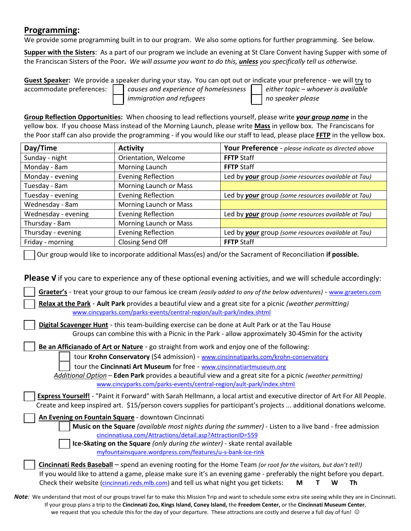### **Programming:**

We provide some programming built in to our program. We also some options for further programming. See below.

**Supper with the Sisters**: As a part of our program we include an evening at St Clare Convent having Supper with some of the Franciscan Sisters of the Poor**.** *We will assume you want to do this, unless you specifically tell us otherwise.* 

**Guest Speaker:** We provide a speaker during your stay**.** You can opt out or indicate your preference - we will try to accommodate preferences:*causes and experience of homelessness either topic – whoever is available immigration and refugees no speaker please*

**Group Reflection Opportunities:** When choosing to lead reflections yourself, please write *your group name* in the yellow box. If you choose Mass instead of the Morning Launch, please write **Mass** in yellow box. The Franciscans for the Poor staff can also provide the programming - if you would like our staff to lead, please place **FFTP** in the yellow box.

| Day/Time            | <b>Activity</b>           | Your Preference - please indicate as directed above |
|---------------------|---------------------------|-----------------------------------------------------|
| Sunday - night      | Orientation, Welcome      | <b>FFTP Staff</b>                                   |
| Monday - 8am        | Morning Launch            | <b>FFTP</b> Staff                                   |
| Monday - evening    | <b>Evening Reflection</b> | Led by your group (some resources available at Tau) |
| Tuesday - 8am       | Morning Launch or Mass    |                                                     |
| Tuesday - evening   | <b>Evening Reflection</b> | Led by your group (some resources available at Tau) |
| Wednesday - 8am     | Morning Launch or Mass    |                                                     |
| Wednesday - evening | <b>Evening Reflection</b> | Led by your group (some resources available at Tau) |
| Thursday - 8am      | Morning Launch or Mass    |                                                     |
| Thursday - evening  | <b>Evening Reflection</b> | Led by your group (some resources available at Tau) |
| Friday - morning    | Closing Send Off          | <b>FFTP</b> Staff                                   |

Our group would like to incorporate additional Mass(es) and/or the Sacrament of Reconciliation **if possible.**

**Please √** if you care to experience any of these optional evening activities, and we will schedule accordingly:

 **Graeter's** - treat your group to our famous ice cream *(easily added to any of the below adventures)* - [www.graeters.com](http://www.graeters.com/)

**Relax at the Park** - **Ault Park** provides a beautiful view and a great site for a picnic *(weather permitting)*  [www.cincyparks.com/parks-events/central-region/ault-park/index.shtml](http://www.cincyparks.com/parks-events/central-region/ault-park/index.shtml)

**Digital Scavenger Hunt** - this team-building exercise can be done at Ault Park or at the Tau House Groups can combine this with a Picnic in the Park - allow approximately 30-45min for the activity

**Be an Afficianado of Art or Nature** - go straight from work and enjoy one of the following:

tour **Krohn Conservatory** (\$4 admission) - [www.cincinnatiparks.com/krohn-conservatory](http://www.cincinnatiparks.com/krohn-conservatory)

tour the **Cincinnati Art Museum** for free - [www.cincinnatiartmuseum.org](http://www.cincinnatiartmuseum.org/)

 *Additional Option –* **Eden Park** provides a beautiful view and a great site for a picnic *(weather permitting)* [www.cincyparks.com/parks-events/central-region/ault-park/index.shtml](http://www.cincyparks.com/parks-events/central-region/ault-park/index.shtml)

**Express Yourself!** - "Paint it Forward" with Sarah Hellmann, a local artist and executive director of Art For All People. Create and keep inspired art. \$15/person covers supplies for participant's projects ... additional donations welcome.

**An Evening on Fountain Square** - downtown Cincinnati

**Music on the Square** *(available most nights during the summer)* - Listen to a live band - free admission [cincinnatiusa.com/Attractions/detail.asp?AttractionID=559](http://cincinnatiusa.com/Attractions/detail.asp?AttractionID=559)

**Ice-Skating on the Square** *(only during the winter)* - skate rental available [myfountainsquare.wordpress.com/features/u-s-bank-ice-rink](https://d.docs.live.net/4067eb65c3a6f87c/Documents/Franciscans%20for%20the%20Poor/Forms/Group%20Forms/myfountainsquare.wordpress.com/features/u-s-bank-ice-rink)

**Cincinnati Reds Baseball** – spend an evening rooting for the Home Team *(or root for the visitors, but don't tell!)* If you would like to attend a game, please make sure it's an evening game - preferably the night before you depart. Check their website [\(cincinnati.reds.mlb.com\)](https://www.google.com/url?sa=t&rct=j&q=&esrc=s&source=web&cd=21&ved=0ahUKEwihroe27bfPAhUp0YMKHbOPCPQQ-TAIzgEoADAU&url=http%3A%2F%2Fcincinnati.reds.mlb.com%2F&usg=AFQjCNG85oggb32uoWFW1p9IkAq2mXAaFw&sig2=E4Q6wcqBuBJlBdAzwWvwpg&cad=rja) and tell us what night you get tickets: **M T W Th** 

*Note:* We understand that most of our groups travel far to make this Mission Trip and want to schedule some extra site seeing while they are in Cincinnati. If your group plans a trip to the **Cincinnati Zoo, Kings Island, Coney Island,** the **Freedom Center,** or the **Cincinnati Museum Center**, we request that you schedule this for the day of your departure. These attractions are costly and deserve a full day of fun!  $\odot$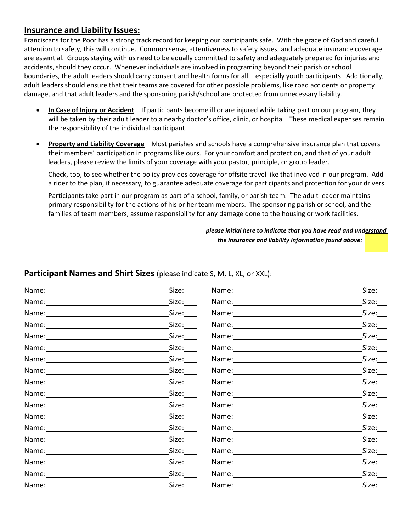### **Insurance and Liability Issues:**

Franciscans for the Poor has a strong track record for keeping our participants safe. With the grace of God and careful attention to safety, this will continue. Common sense, attentiveness to safety issues, and adequate insurance coverage are essential. Groups staying with us need to be equally committed to safety and adequately prepared for injuries and accidents, should they occur. Whenever individuals are involved in programing beyond their parish or school boundaries, the adult leaders should carry consent and health forms for all – especially youth participants. Additionally, adult leaders should ensure that their teams are covered for other possible problems, like road accidents or property damage, and that adult leaders and the sponsoring parish/school are protected from unnecessary liability.

- **In Case of Injury or Accident** If participants become ill or are injured while taking part on our program, they will be taken by their adult leader to a nearby doctor's office, clinic, or hospital. These medical expenses remain the responsibility of the individual participant.
- **Property and Liability Coverage** Most parishes and schools have a comprehensive insurance plan that covers their members' participation in programs like ours. For your comfort and protection, and that of your adult leaders, please review the limits of your coverage with your pastor, principle, or group leader.

Check, too, to see whether the policy provides coverage for offsite travel like that involved in our program. Add a rider to the plan, if necessary, to guarantee adequate coverage for participants and protection for your drivers.

Participants take part in our program as part of a school, family, or parish team. The adult leader maintains primary responsibility for the actions of his or her team members. The sponsoring parish or school, and the families of team members, assume responsibility for any damage done to the housing or work facilities.

> *please initial here to indicate that you have read and understand the insurance and liability information found above:*

### **Participant Names and Shirt Sizes** (please indicate S, M, L, XL, or XXL):

|                                                                                                                                                                                                                               | Size:                      |                                                                                                                                                                                                                                | Size: |
|-------------------------------------------------------------------------------------------------------------------------------------------------------------------------------------------------------------------------------|----------------------------|--------------------------------------------------------------------------------------------------------------------------------------------------------------------------------------------------------------------------------|-------|
|                                                                                                                                                                                                                               | Size: $\_\_$               |                                                                                                                                                                                                                                | Size: |
|                                                                                                                                                                                                                               | Size:                      | Name: Name and All Property of the All Property of the All Property of the All Property of the All Property of the All Property of the All Property of the All Property of the All Property of the All Property of the All Pro | Size: |
|                                                                                                                                                                                                                               | Size:                      |                                                                                                                                                                                                                                | Size: |
|                                                                                                                                                                                                                               | Size:                      |                                                                                                                                                                                                                                | Size: |
|                                                                                                                                                                                                                               | Size:                      |                                                                                                                                                                                                                                | Size: |
|                                                                                                                                                                                                                               | Size:____                  |                                                                                                                                                                                                                                | Size: |
|                                                                                                                                                                                                                               | Size:____                  |                                                                                                                                                                                                                                | Size: |
|                                                                                                                                                                                                                               | Size: $\rule{1em}{0.15mm}$ | Name: Name:                                                                                                                                                                                                                    | Size: |
| Name: Name and the service of the service of the service of the service of the service of the service of the service of the service of the service of the service of the service of the service of the service of the service | Size:____                  | Name: Name:                                                                                                                                                                                                                    | Size: |
|                                                                                                                                                                                                                               | Size:                      | Name: Name and the service of the service of the service of the service of the service of the service of the service of the service of the service of the service of the service of the service of the service of the service  | Size: |
|                                                                                                                                                                                                                               | Size:                      |                                                                                                                                                                                                                                | Size: |
|                                                                                                                                                                                                                               | Size:                      | Name: Name and All Property of the All Property of the All Property of the All Property of the All Property of the All Property of the All Property of the All Property of the All Property of the All Property of the All Pro | Size: |
|                                                                                                                                                                                                                               | Size:                      |                                                                                                                                                                                                                                | Size: |
|                                                                                                                                                                                                                               | Size:                      | Name: 1990 1991                                                                                                                                                                                                                | Size: |
| Name: 1988                                                                                                                                                                                                                    | Size:                      | Name: 1988                                                                                                                                                                                                                     | Size: |
|                                                                                                                                                                                                                               | Size:                      |                                                                                                                                                                                                                                | Size: |
|                                                                                                                                                                                                                               | Size:                      | Name: 1990 1991                                                                                                                                                                                                                | Size: |